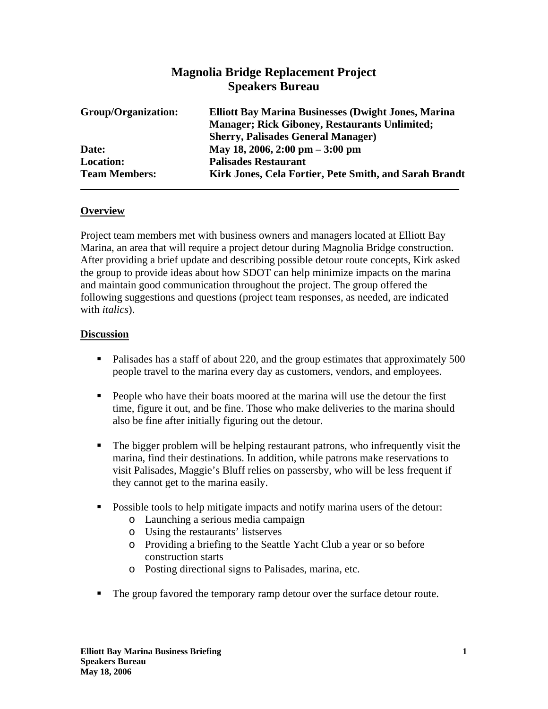## **Magnolia Bridge Replacement Project Speakers Bureau**

| Group/Organization:  | <b>Elliott Bay Marina Businesses (Dwight Jones, Marina</b><br><b>Manager</b> ; Rick Giboney, Restaurants Unlimited; |
|----------------------|---------------------------------------------------------------------------------------------------------------------|
|                      | <b>Sherry, Palisades General Manager)</b>                                                                           |
| Date:                | May 18, 2006, 2:00 pm $-3:00$ pm                                                                                    |
| <b>Location:</b>     | <b>Palisades Restaurant</b>                                                                                         |
| <b>Team Members:</b> | Kirk Jones, Cela Fortier, Pete Smith, and Sarah Brandt                                                              |

## **Overview**

Project team members met with business owners and managers located at Elliott Bay Marina, an area that will require a project detour during Magnolia Bridge construction. After providing a brief update and describing possible detour route concepts, Kirk asked the group to provide ideas about how SDOT can help minimize impacts on the marina and maintain good communication throughout the project. The group offered the following suggestions and questions (project team responses, as needed, are indicated with *italics*).

## **Discussion**

- Palisades has a staff of about 220, and the group estimates that approximately 500 people travel to the marina every day as customers, vendors, and employees.
- People who have their boats moored at the marina will use the detour the first time, figure it out, and be fine. Those who make deliveries to the marina should also be fine after initially figuring out the detour.
- The bigger problem will be helping restaurant patrons, who infrequently visit the marina, find their destinations. In addition, while patrons make reservations to visit Palisades, Maggie's Bluff relies on passersby, who will be less frequent if they cannot get to the marina easily.
- Possible tools to help mitigate impacts and notify marina users of the detour:
	- o Launching a serious media campaign
	- o Using the restaurants' listserves
	- o Providing a briefing to the Seattle Yacht Club a year or so before construction starts
	- o Posting directional signs to Palisades, marina, etc.
- The group favored the temporary ramp detour over the surface detour route.